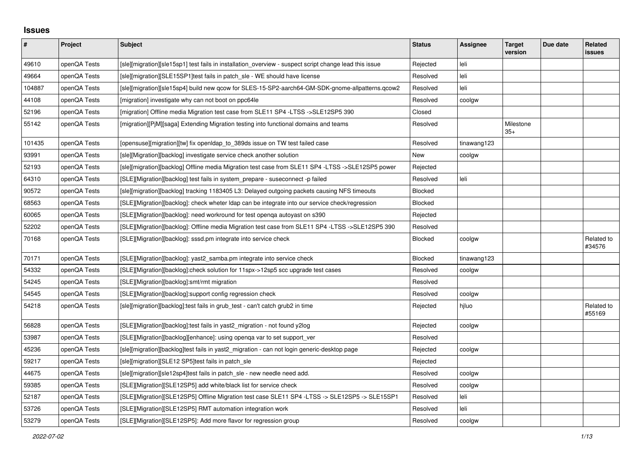## **Issues**

| #      | Project      | <b>Subject</b>                                                                                         | <b>Status</b>  | Assignee    | <b>Target</b><br>version | Due date | <b>Related</b><br><b>issues</b> |
|--------|--------------|--------------------------------------------------------------------------------------------------------|----------------|-------------|--------------------------|----------|---------------------------------|
| 49610  | openQA Tests | [sle][migration][sle15sp1] test fails in installation overview - suspect script change lead this issue | Rejected       | leli        |                          |          |                                 |
| 49664  | openQA Tests | [sle][migration][SLE15SP1]test fails in patch sle - WE should have license                             | Resolved       | leli        |                          |          |                                 |
| 104887 | openQA Tests | [sle][migration][sle15sp4] build new qcow for SLES-15-SP2-aarch64-GM-SDK-gnome-allpatterns.qcow2       | Resolved       | leli        |                          |          |                                 |
| 44108  | openQA Tests | [migration] investigate why can not boot on ppc64le                                                    | Resolved       | coolgw      |                          |          |                                 |
| 52196  | openQA Tests | [migration] Offline media Migration test case from SLE11 SP4 -LTSS ->SLE12SP5 390                      | Closed         |             |                          |          |                                 |
| 55142  | openQA Tests | [migration][P M][saga] Extending Migration testing into functional domains and teams                   | Resolved       |             | Milestone<br>$35+$       |          |                                 |
| 101435 | openQA Tests | [opensuse][migration][tw] fix openIdap to 389ds issue on TW test failed case                           | Resolved       | tinawang123 |                          |          |                                 |
| 93991  | openQA Tests | [sle][Migration][backlog] investigate service check another solution                                   | New            | coolgw      |                          |          |                                 |
| 52193  | openQA Tests | [sle][migration][backlog] Offline media Migration test case from SLE11 SP4 -LTSS ->SLE12SP5 power      | Rejected       |             |                          |          |                                 |
| 64310  | openQA Tests | [SLE][Migration][backlog] test fails in system_prepare - suseconnect -p failed                         | Resolved       | leli        |                          |          |                                 |
| 90572  | openQA Tests | [sle][migration][backlog] tracking 1183405 L3: Delayed outgoing packets causing NFS timeouts           | <b>Blocked</b> |             |                          |          |                                 |
| 68563  | openQA Tests | [SLE][Migration][backlog]: check wheter Idap can be integrate into our service check/regression        | Blocked        |             |                          |          |                                 |
| 60065  | openQA Tests | [SLE][Migration][backlog]: need workround for test openqa autoyast on s390                             | Rejected       |             |                          |          |                                 |
| 52202  | openQA Tests | [SLE][Migration][backlog]: Offline media Migration test case from SLE11 SP4 -LTSS ->SLE12SP5 390       | Resolved       |             |                          |          |                                 |
| 70168  | openQA Tests | [SLE][Migration][backlog]: sssd.pm integrate into service check                                        | Blocked        | coolgw      |                          |          | Related to<br>#34576            |
| 70171  | openQA Tests | [SLE][Migration][backlog]: yast2 samba.pm integrate into service check                                 | <b>Blocked</b> | tinawang123 |                          |          |                                 |
| 54332  | openQA Tests | [SLE][Migration][backlog]:check solution for 11spx->12sp5 scc upgrade test cases                       | Resolved       | coolgw      |                          |          |                                 |
| 54245  | openQA Tests | [SLE][Migration][backlog]:smt/rmt migration                                                            | Resolved       |             |                          |          |                                 |
| 54545  | openQA Tests | [SLE][Migration][backlog]:support config regression check                                              | Resolved       | coolgw      |                          |          |                                 |
| 54218  | openQA Tests | [sle][migration][backlog]:test fails in grub_test - can't catch grub2 in time                          | Rejected       | hjluo       |                          |          | Related to<br>#55169            |
| 56828  | openQA Tests | [SLE][Migration][backlog]:test fails in yast2_migration - not found y2log                              | Rejected       | coolgw      |                          |          |                                 |
| 53987  | openQA Tests | [SLE][Migration][backlog][enhance]: using openga var to set support ver                                | Resolved       |             |                          |          |                                 |
| 45236  | openQA Tests | [sle][migration][backlog]test fails in yast2 migration - can not login generic-desktop page            | Rejected       | coolgw      |                          |          |                                 |
| 59217  | openQA Tests | [sle][migration][SLE12 SP5]test fails in patch sle                                                     | Rejected       |             |                          |          |                                 |
| 44675  | openQA Tests | [sle][migration][sle12sp4]test fails in patch_sle - new needle need add.                               | Resolved       | coolgw      |                          |          |                                 |
| 59385  | openQA Tests | [SLE][Migration][SLE12SP5] add white/black list for service check                                      | Resolved       | coolgw      |                          |          |                                 |
| 52187  | openQA Tests | [SLE][Migration][SLE12SP5] Offline Migration test case SLE11 SP4 -LTSS -> SLE12SP5 -> SLE15SP1         | Resolved       | leli        |                          |          |                                 |
| 53726  | openQA Tests | [SLE][Migration][SLE12SP5] RMT automation integration work                                             | Resolved       | leli        |                          |          |                                 |
| 53279  | openQA Tests | [SLE][Migration][SLE12SP5]: Add more flavor for regression group                                       | Resolved       | coolgw      |                          |          |                                 |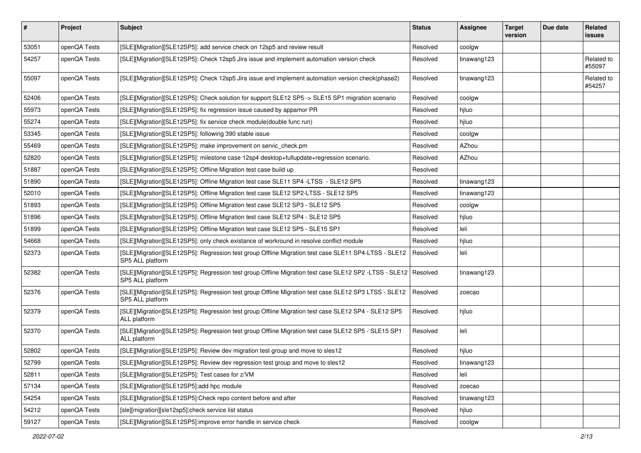| #     | Project      | <b>Subject</b>                                                                                                            | <b>Status</b> | <b>Assignee</b> | <b>Target</b><br>version | Due date | Related<br><b>issues</b> |
|-------|--------------|---------------------------------------------------------------------------------------------------------------------------|---------------|-----------------|--------------------------|----------|--------------------------|
| 53051 | openQA Tests | [SLE][Migration][SLE12SP5]: add service check on 12sp5 and review result                                                  | Resolved      | coolgw          |                          |          |                          |
| 54257 | openQA Tests | [SLE][Migration][SLE12SP5]: Check 12sp5 Jira issue and implement automation version check                                 | Resolved      | tinawang123     |                          |          | Related to<br>#55097     |
| 55097 | openQA Tests | [SLE][Migration][SLE12SP5]: Check 12sp5 Jira issue and implement automation version check(phase2)                         | Resolved      | tinawang123     |                          |          | Related to<br>#54257     |
| 52406 | openQA Tests | [SLE][Migration][SLE12SP5]: Check solution for support SLE12 SP5 -> SLE15 SP1 migration scenario                          | Resolved      | coolgw          |                          |          |                          |
| 55973 | openQA Tests | [SLE][Migration][SLE12SP5]: fix regression issue caused by appamor PR                                                     | Resolved      | hiluo           |                          |          |                          |
| 55274 | openQA Tests | [SLE][Migration][SLE12SP5]: fix service check module(double func run)                                                     | Resolved      | hiluo           |                          |          |                          |
| 53345 | openQA Tests | [SLE][Migration][SLE12SP5]: following 390 stable issue                                                                    | Resolved      | coolgw          |                          |          |                          |
| 55469 | openQA Tests | [SLE][Migration][SLE12SP5]: make improvement on servic_check.pm                                                           | Resolved      | AZhou           |                          |          |                          |
| 52820 | openQA Tests | [SLE][Migration][SLE12SP5]: milestone case 12sp4 desktop+fullupdate+regression scenario.                                  | Resolved      | AZhou           |                          |          |                          |
| 51887 | openQA Tests | [SLE][Migration][SLE12SP5]: Offline Migration test case build up                                                          | Resolved      |                 |                          |          |                          |
| 51890 | openQA Tests | [SLE][Migration][SLE12SP5]: Offline Migration test case SLE11 SP4 -LTSS - SLE12 SP5                                       | Resolved      | tinawang123     |                          |          |                          |
| 52010 | openQA Tests | [SLE][Migration][SLE12SP5]: Offline Migration test case SLE12 SP2-LTSS - SLE12 SP5                                        | Resolved      | tinawang123     |                          |          |                          |
| 51893 | openQA Tests | [SLE][Migration][SLE12SP5]: Offline Migration test case SLE12 SP3 - SLE12 SP5                                             | Resolved      | coolgw          |                          |          |                          |
| 51896 | openQA Tests | [SLE][Migration][SLE12SP5]: Offline Migration test case SLE12 SP4 - SLE12 SP5                                             | Resolved      | hiluo           |                          |          |                          |
| 51899 | openQA Tests | [SLE][Migration][SLE12SP5]: Offline Migration test case SLE12 SP5 - SLE15 SP1                                             | Resolved      | leli            |                          |          |                          |
| 54668 | openQA Tests | [SLE][Migration][SLE12SP5]: only check existance of workround in resolve conflict module                                  | Resolved      | hjluo           |                          |          |                          |
| 52373 | openQA Tests | [SLE][Migration][SLE12SP5]: Regression test group Offline Migration test case SLE11 SP4-LTSS - SLE12<br>SP5 ALL platform  | Resolved      | leli            |                          |          |                          |
| 52382 | openQA Tests | [SLE][Migration][SLE12SP5]: Regression test group Offline Migration test case SLE12 SP2 -LTSS - SLE12<br>SP5 ALL platform | Resolved      | tinawang123     |                          |          |                          |
| 52376 | openQA Tests | [SLE][Migration][SLE12SP5]: Regression test group Offline Migration test case SLE12 SP3 LTSS - SLE12<br>SP5 ALL platform  | Resolved      | zoecao          |                          |          |                          |
| 52379 | openQA Tests | [SLE][Migration][SLE12SP5]: Regression test group Offline Migration test case SLE12 SP4 - SLE12 SP5<br>ALL platform       | Resolved      | hjluo           |                          |          |                          |
| 52370 | openQA Tests | [SLE][Migration][SLE12SP5]: Regression test group Offline Migration test case SLE12 SP5 - SLE15 SP1<br>ALL platform       | Resolved      | leli            |                          |          |                          |
| 52802 | openQA Tests | [SLE][Migration][SLE12SP5]: Review dev migration test group and move to sles12                                            | Resolved      | hiluo           |                          |          |                          |
| 52799 | openQA Tests | [SLE][Migration][SLE12SP5]: Review dev regression test group and move to sles12                                           | Resolved      | tinawang123     |                          |          |                          |
| 52811 | openQA Tests | [SLE][Migration][SLE12SP5]: Test cases for z/VM                                                                           | Resolved      | leli            |                          |          |                          |
| 57134 | openQA Tests | [SLE][Migration][SLE12SP5]:add hpc module                                                                                 | Resolved      | zoecao          |                          |          |                          |
| 54254 | openQA Tests | [SLE][Migration][SLE12SP5]:Check repo content before and after                                                            | Resolved      | tinawang123     |                          |          |                          |
| 54212 | openQA Tests | [sle][migration][sle12sp5]:check service list status                                                                      | Resolved      | hjluo           |                          |          |                          |
| 59127 | openQA Tests | [SLE][Migration][SLE12SP5]:improve error handle in service check                                                          | Resolved      | coolgw          |                          |          |                          |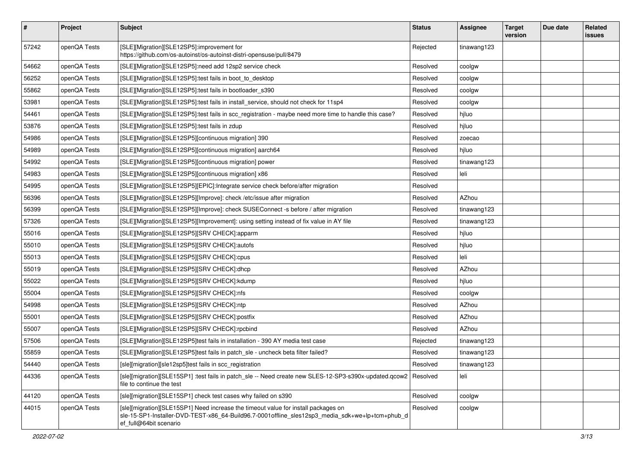| $\vert$ # | Project      | <b>Subject</b>                                                                                                                                                                                                  | <b>Status</b> | Assignee    | <b>Target</b><br>version | Due date | Related<br><b>issues</b> |
|-----------|--------------|-----------------------------------------------------------------------------------------------------------------------------------------------------------------------------------------------------------------|---------------|-------------|--------------------------|----------|--------------------------|
| 57242     | openQA Tests | [SLE][Migration][SLE12SP5]:improvement for<br>https://github.com/os-autoinst/os-autoinst-distri-opensuse/pull/8479                                                                                              | Rejected      | tinawang123 |                          |          |                          |
| 54662     | openQA Tests | [SLE][Migration][SLE12SP5]:need add 12sp2 service check                                                                                                                                                         | Resolved      | coolgw      |                          |          |                          |
| 56252     | openQA Tests | [SLE][Migration][SLE12SP5]:test fails in boot_to_desktop                                                                                                                                                        | Resolved      | coolgw      |                          |          |                          |
| 55862     | openQA Tests | [SLE][Migration][SLE12SP5]:test fails in bootloader_s390                                                                                                                                                        | Resolved      | coolgw      |                          |          |                          |
| 53981     | openQA Tests | [SLE][Migration][SLE12SP5]:test fails in install_service, should not check for 11sp4                                                                                                                            | Resolved      | coolgw      |                          |          |                          |
| 54461     | openQA Tests | [SLE][Migration][SLE12SP5]:test fails in scc_registration - maybe need more time to handle this case?                                                                                                           | Resolved      | hjluo       |                          |          |                          |
| 53876     | openQA Tests | [SLE][Migration][SLE12SP5]:test fails in zdup                                                                                                                                                                   | Resolved      | hjluo       |                          |          |                          |
| 54986     | openQA Tests | [SLE][Migration][SLE12SP5][continuous migration] 390                                                                                                                                                            | Resolved      | zoecao      |                          |          |                          |
| 54989     | openQA Tests | [SLE][Migration][SLE12SP5][continuous migration] aarch64                                                                                                                                                        | Resolved      | hjluo       |                          |          |                          |
| 54992     | openQA Tests | [SLE][Migration][SLE12SP5][continuous migration] power                                                                                                                                                          | Resolved      | tinawang123 |                          |          |                          |
| 54983     | openQA Tests | [SLE][Migration][SLE12SP5][continuous migration] x86                                                                                                                                                            | Resolved      | leli        |                          |          |                          |
| 54995     | openQA Tests | [SLE][Migration][SLE12SP5][EPIC]:Integrate service check before/after migration                                                                                                                                 | Resolved      |             |                          |          |                          |
| 56396     | openQA Tests | [SLE][Migration][SLE12SP5][Improve]: check /etc/issue after migration                                                                                                                                           | Resolved      | AZhou       |                          |          |                          |
| 56399     | openQA Tests | [SLE][Migration][SLE12SP5][Improve]: check SUSEConnect -s before / after migration                                                                                                                              | Resolved      | tinawang123 |                          |          |                          |
| 57326     | openQA Tests | [SLE][Migration][SLE12SP5][Improvement]: using setting instead of fix value in AY file                                                                                                                          | Resolved      | tinawang123 |                          |          |                          |
| 55016     | openQA Tests | [SLE][Migration][SLE12SP5][SRV CHECK]:apparm                                                                                                                                                                    | Resolved      | hjluo       |                          |          |                          |
| 55010     | openQA Tests | [SLE][Migration][SLE12SP5][SRV CHECK]:autofs                                                                                                                                                                    | Resolved      | hjluo       |                          |          |                          |
| 55013     | openQA Tests | [SLE][Migration][SLE12SP5][SRV CHECK]:cpus                                                                                                                                                                      | Resolved      | leli        |                          |          |                          |
| 55019     | openQA Tests | [SLE][Migration][SLE12SP5][SRV CHECK]:dhcp                                                                                                                                                                      | Resolved      | AZhou       |                          |          |                          |
| 55022     | openQA Tests | [SLE][Migration][SLE12SP5][SRV CHECK]:kdump                                                                                                                                                                     | Resolved      | hjluo       |                          |          |                          |
| 55004     | openQA Tests | [SLE][Migration][SLE12SP5][SRV CHECK]:nfs                                                                                                                                                                       | Resolved      | coolgw      |                          |          |                          |
| 54998     | openQA Tests | [SLE][Migration][SLE12SP5][SRV CHECK]:ntp                                                                                                                                                                       | Resolved      | AZhou       |                          |          |                          |
| 55001     | openQA Tests | [SLE][Migration][SLE12SP5][SRV CHECK]:postfix                                                                                                                                                                   | Resolved      | AZhou       |                          |          |                          |
| 55007     | openQA Tests | [SLE][Migration][SLE12SP5][SRV CHECK]:rpcbind                                                                                                                                                                   | Resolved      | AZhou       |                          |          |                          |
| 57506     | openQA Tests | [SLE][Migration][SLE12SP5]test fails in installation - 390 AY media test case                                                                                                                                   | Rejected      | tinawang123 |                          |          |                          |
| 55859     | openQA Tests | [SLE][Migration][SLE12SP5]test fails in patch_sle - uncheck beta filter failed?                                                                                                                                 | Resolved      | tinawang123 |                          |          |                          |
| 54440     | openQA Tests | [sle][migration][sle12sp5]test fails in scc_registration                                                                                                                                                        | Resolved      | tinawang123 |                          |          |                          |
| 44336     | openQA Tests | [sle][migration][SLE15SP1] :test fails in patch_sle -- Need create new SLES-12-SP3-s390x-updated.qcow2<br>file to continue the test                                                                             | Resolved      | leli        |                          |          |                          |
| 44120     | openQA Tests | [sle][migration][SLE15SP1] check test cases why failed on s390                                                                                                                                                  | Resolved      | coolgw      |                          |          |                          |
| 44015     | openQA Tests | [sle][migration][SLE15SP1] Need increase the timeout value for install packages on<br>sle-15-SP1-Installer-DVD-TEST-x86 64-Build96.7-0001offline sles12sp3 media sdk+we+lp+tcm+phub d<br>ef full@64bit scenario | Resolved      | coolgw      |                          |          |                          |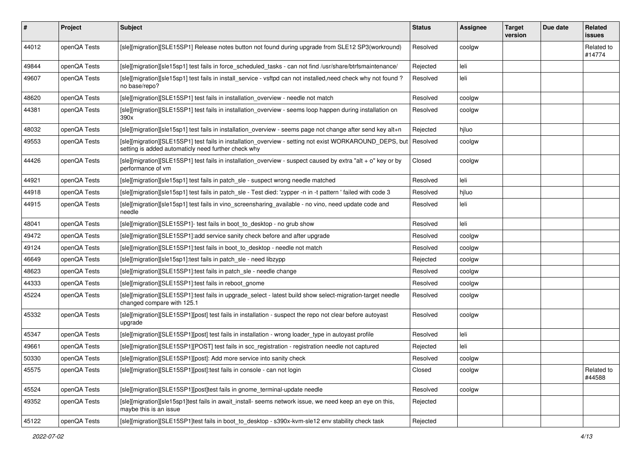| $\vert$ # | Project      | Subject                                                                                                                                                        | <b>Status</b> | Assignee | <b>Target</b><br>version | Due date | Related<br><b>issues</b> |
|-----------|--------------|----------------------------------------------------------------------------------------------------------------------------------------------------------------|---------------|----------|--------------------------|----------|--------------------------|
| 44012     | openQA Tests | [sle][migration][SLE15SP1] Release notes button not found during upgrade from SLE12 SP3(workround)                                                             | Resolved      | coolgw   |                          |          | Related to<br>#14774     |
| 49844     | openQA Tests | [sle][migration][sle15sp1] test fails in force_scheduled_tasks - can not find /usr/share/btrfsmaintenance/                                                     | Rejected      | leli     |                          |          |                          |
| 49607     | openQA Tests | [sle][migration][sle15sp1] test fails in install_service - vsftpd can not installed,need check why not found?<br>no base/repo?                                 | Resolved      | leli     |                          |          |                          |
| 48620     | openQA Tests | [sle][migration][SLE15SP1] test fails in installation_overview - needle not match                                                                              | Resolved      | coolgw   |                          |          |                          |
| 44381     | openQA Tests | [sle][migration][SLE15SP1] test fails in installation_overview - seems loop happen during installation on<br>390x                                              | Resolved      | coolgw   |                          |          |                          |
| 48032     | openQA Tests | [sle][migration][sle15sp1] test fails in installation_overview - seems page not change after send key alt+n                                                    | Rejected      | hjluo    |                          |          |                          |
| 49553     | openQA Tests | [sle][migration][SLE15SP1] test fails in installation_overview - setting not exist WORKAROUND_DEPS, but<br>setting is added automaticly need further check why | Resolved      | coolgw   |                          |          |                          |
| 44426     | openQA Tests | [sle][migration][SLE15SP1] test fails in installation_overview - suspect caused by extra "alt + o" key or by<br>performance of vm                              | Closed        | coolgw   |                          |          |                          |
| 44921     | openQA Tests | [sle][migration][sle15sp1] test fails in patch_sle - suspect wrong needle matched                                                                              | Resolved      | leli     |                          |          |                          |
| 44918     | openQA Tests | [sle][migration][sle15sp1] test fails in patch_sle - Test died: 'zypper -n in -t pattern ' failed with code 3                                                  | Resolved      | hjluo    |                          |          |                          |
| 44915     | openQA Tests | [sle][migration][sle15sp1] test fails in vino_screensharing_available - no vino, need update code and<br>needle                                                | Resolved      | leli     |                          |          |                          |
| 48041     | openQA Tests | [sle][migration][SLE15SP1]- test fails in boot to desktop - no grub show                                                                                       | Resolved      | leli     |                          |          |                          |
| 49472     | openQA Tests | [sle][migration][SLE15SP1]:add service sanity check before and after upgrade                                                                                   | Resolved      | coolgw   |                          |          |                          |
| 49124     | openQA Tests | [sle][migration][SLE15SP1]:test fails in boot_to_desktop - needle not match                                                                                    | Resolved      | coolgw   |                          |          |                          |
| 46649     | openQA Tests | [sle][migration][sle15sp1]:test fails in patch_sle - need libzypp                                                                                              | Rejected      | coolgw   |                          |          |                          |
| 48623     | openQA Tests | [sle][migration][SLE15SP1]:test fails in patch_sle - needle change                                                                                             | Resolved      | coolgw   |                          |          |                          |
| 44333     | openQA Tests | [sle][migration][SLE15SP1]:test fails in reboot_gnome                                                                                                          | Resolved      | coolgw   |                          |          |                          |
| 45224     | openQA Tests | [sle][migration][SLE15SP1]:test fails in upgrade_select - latest build show select-migration-target needle<br>changed compare with 125.1                       | Resolved      | coolgw   |                          |          |                          |
| 45332     | openQA Tests | [sle][migration][SLE15SP1][post] test fails in installation - suspect the repo not clear before autoyast<br>upgrade                                            | Resolved      | coolgw   |                          |          |                          |
| 45347     | openQA Tests | [sle][migration][SLE15SP1][post] test fails in installation - wrong loader_type in autoyast profile                                                            | Resolved      | leli     |                          |          |                          |
| 49661     | openQA Tests | [sle][migration][SLE15SP1][POST] test fails in scc_registration - registration needle not captured                                                             | Rejected      | leli     |                          |          |                          |
| 50330     | openQA Tests | [sle][migration][SLE15SP1][post]: Add more service into sanity check                                                                                           | Resolved      | coolgw   |                          |          |                          |
| 45575     | openQA Tests | [sle][migration][SLE15SP1][post]:test fails in console - can not login                                                                                         | Closed        | coolgw   |                          |          | Related to<br>#44588     |
| 45524     | openQA Tests | [sle][migration][SLE15SP1][post]test fails in gnome_terminal-update needle                                                                                     | Resolved      | coolgw   |                          |          |                          |
| 49352     | openQA Tests | [sle][migration][sle15sp1]test fails in await_install- seems network issue, we need keep an eye on this,<br>maybe this is an issue                             | Rejected      |          |                          |          |                          |
| 45122     | openQA Tests | [sle][migration][SLE15SP1]test fails in boot to_desktop - s390x-kvm-sle12 env stability check task                                                             | Rejected      |          |                          |          |                          |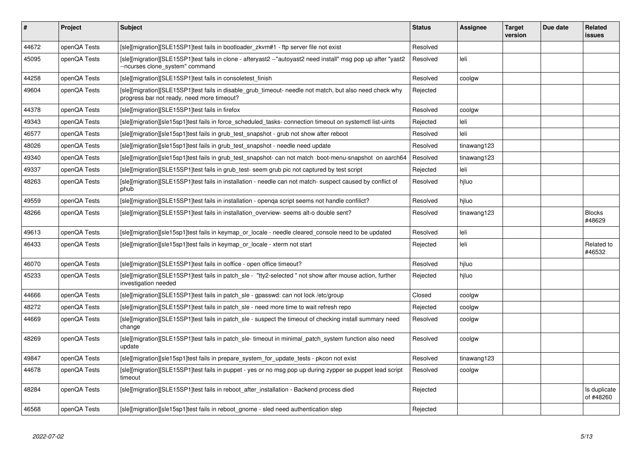| #     | Project      | <b>Subject</b>                                                                                                                                        | <b>Status</b> | <b>Assignee</b> | <b>Target</b><br>version | Due date | <b>Related</b><br>issues  |
|-------|--------------|-------------------------------------------------------------------------------------------------------------------------------------------------------|---------------|-----------------|--------------------------|----------|---------------------------|
| 44672 | openQA Tests | [sle][migration][SLE15SP1]test fails in bootloader_zkvm#1 - ftp server file not exist                                                                 | Resolved      |                 |                          |          |                           |
| 45095 | openQA Tests | [sle][migration][SLE15SP1]test fails in clone - afteryast2 --"autoyast2 need install" msg pop up after "yast2<br>--ncurses clone_system" command      | Resolved      | leli            |                          |          |                           |
| 44258 | openQA Tests | [sle][migration][SLE15SP1]test fails in consoletest_finish                                                                                            | Resolved      | coolgw          |                          |          |                           |
| 49604 | openQA Tests | [sle][migration][SLE15SP1]test fails in disable grub timeout- needle not match, but also need check why<br>progress bar not ready, need more timeout? | Rejected      |                 |                          |          |                           |
| 44378 | openQA Tests | [sle][migration][SLE15SP1]test fails in firefox                                                                                                       | Resolved      | coolgw          |                          |          |                           |
| 49343 | openQA Tests | [sle][migration][sle15sp1]test fails in force scheduled tasks-connection timeout on systemctl list-uints                                              | Rejected      | leli            |                          |          |                           |
| 46577 | openQA Tests | [sle][migration][sle15sp1]test fails in grub test snapshot - grub not show after reboot                                                               | Resolved      | leli            |                          |          |                           |
| 48026 | openQA Tests | [sle][migration][sle15sp1]test fails in grub_test_snapshot - needle need update                                                                       | Resolved      | tinawang123     |                          |          |                           |
| 49340 | openQA Tests | [sle][migration][sle15sp1]test fails in grub test snapshot- can not match boot-menu-snapshot on aarch64                                               | Resolved      | tinawang123     |                          |          |                           |
| 49337 | openQA Tests | [sle][migration][SLE15SP1]test fails in grub_test- seem grub pic not captured by test script                                                          | Rejected      | leli            |                          |          |                           |
| 48263 | openQA Tests | [sle][migration][SLE15SP1]test fails in installation - needle can not match- suspect caused by conflict of<br>phub                                    | Resolved      | hiluo           |                          |          |                           |
| 49559 | openQA Tests | [sle][migration][SLE15SP1]test fails in installation - openga script seems not handle confilict?                                                      | Resolved      | hiluo           |                          |          |                           |
| 48266 | openQA Tests | [sle][migration][SLE15SP1]test fails in installation_overview- seems alt-o double sent?                                                               | Resolved      | tinawang123     |                          |          | <b>Blocks</b><br>#48629   |
| 49613 | openQA Tests | [sle][migration][sle15sp1]test fails in keymap or locale - needle cleared console need to be updated                                                  | Resolved      | leli            |                          |          |                           |
| 46433 | openQA Tests | [sle][migration][sle15sp1]test fails in keymap_or_locale - xterm not start                                                                            | Rejected      | leli            |                          |          | Related to<br>#46532      |
| 46070 | openQA Tests | [sle][migration][SLE15SP1]test fails in ooffice - open office timeout?                                                                                | Resolved      | hiluo           |                          |          |                           |
| 45233 | openQA Tests | [sle][migration][SLE15SP1]test fails in patch sle - "tty2-selected " not show after mouse action, further<br>investigation needed                     | Rejected      | hiluo           |                          |          |                           |
| 44666 | openQA Tests | [sle][migration][SLE15SP1]test fails in patch sle - gpasswd: can not lock/etc/group                                                                   | Closed        | coolgw          |                          |          |                           |
| 48272 | openQA Tests | [sle][migration][SLE15SP1]test fails in patch_sle - need more time to wait refresh repo                                                               | Rejected      | coolgw          |                          |          |                           |
| 44669 | openQA Tests | [sle][migration][SLE15SP1]test fails in patch sle - suspect the timeout of checking install summary need<br>change                                    | Resolved      | coolgw          |                          |          |                           |
| 48269 | openQA Tests | [sle][migration][SLE15SP1]test fails in patch sle-timeout in minimal patch system function also need<br>update                                        | Resolved      | coolgw          |                          |          |                           |
| 49847 | openQA Tests | [sle][migration][sle15sp1]test fails in prepare system for update tests - pkcon not exist                                                             | Resolved      | tinawang123     |                          |          |                           |
| 44678 | openQA Tests | [sle][migration][SLE15SP1]test fails in puppet - yes or no msg pop up during zypper se puppet lead script<br>timeout                                  | Resolved      | coolgw          |                          |          |                           |
| 48284 | openQA Tests | [sle][migration][SLE15SP1]test fails in reboot_after_installation - Backend process died                                                              | Rejected      |                 |                          |          | Is duplicate<br>of #48260 |
| 46568 | openQA Tests | [sle][migration][sle15sp1]test fails in reboot_gnome - sled need authentication step                                                                  | Rejected      |                 |                          |          |                           |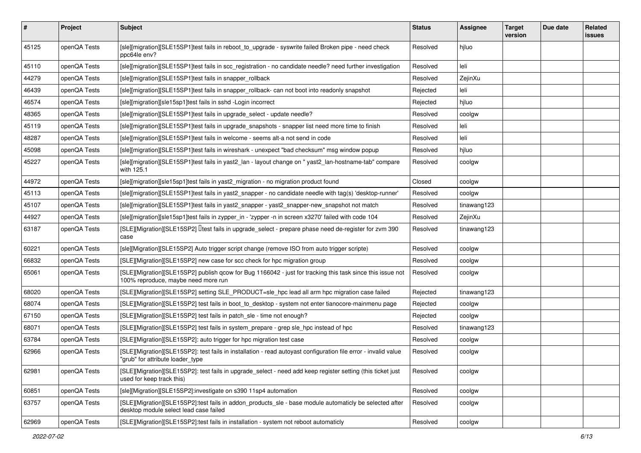| #     | Project      | <b>Subject</b>                                                                                                                                      | <b>Status</b> | <b>Assignee</b> | <b>Target</b><br>version | Due date | <b>Related</b><br><b>issues</b> |
|-------|--------------|-----------------------------------------------------------------------------------------------------------------------------------------------------|---------------|-----------------|--------------------------|----------|---------------------------------|
| 45125 | openQA Tests | [sle][migration][SLE15SP1]test fails in reboot_to_upgrade - syswrite failed Broken pipe - need check<br>ppc64le env?                                | Resolved      | hiluo           |                          |          |                                 |
| 45110 | openQA Tests | [sle][migration][SLE15SP1]test fails in scc_registration - no candidate needle? need further investigation                                          | Resolved      | leli            |                          |          |                                 |
| 44279 | openQA Tests | [sle][migration][SLE15SP1]test fails in snapper_rollback                                                                                            | Resolved      | ZejinXu         |                          |          |                                 |
| 46439 | openQA Tests | [sle][migration][SLE15SP1]test fails in snapper_rollback- can not boot into readonly snapshot                                                       | Rejected      | leli            |                          |          |                                 |
| 46574 | openQA Tests | [sle][migration][sle15sp1]test fails in sshd -Login incorrect                                                                                       | Rejected      | hjluo           |                          |          |                                 |
| 48365 | openQA Tests | [sle][migration][SLE15SP1]test fails in upgrade select - update needle?                                                                             | Resolved      | coolgw          |                          |          |                                 |
| 45119 | openQA Tests | [sle][migration][SLE15SP1]test fails in upgrade_snapshots - snapper list need more time to finish                                                   | Resolved      | leli            |                          |          |                                 |
| 48287 | openQA Tests | [sle][migration][SLE15SP1]test fails in welcome - seems alt-a not send in code                                                                      | Resolved      | leli            |                          |          |                                 |
| 45098 | openQA Tests | [sle][migration][SLE15SP1]test fails in wireshark - unexpect "bad checksum" msg window popup                                                        | Resolved      | hjluo           |                          |          |                                 |
| 45227 | openQA Tests | [sle][migration][SLE15SP1]test fails in yast2_lan - layout change on " yast2_lan-hostname-tab" compare<br>with 125.1                                | Resolved      | coolgw          |                          |          |                                 |
| 44972 | openQA Tests | [sle][migration][sle15sp1]test fails in yast2_migration - no migration product found                                                                | Closed        | coolgw          |                          |          |                                 |
| 45113 | openQA Tests | [sle][migration][SLE15SP1]test fails in yast2_snapper - no candidate needle with tag(s) 'desktop-runner'                                            | Resolved      | coolgw          |                          |          |                                 |
| 45107 | openQA Tests | [sle][migration][SLE15SP1]test fails in yast2_snapper - yast2_snapper-new_snapshot not match                                                        | Resolved      | tinawang123     |                          |          |                                 |
| 44927 | openQA Tests | [sle][migration][sle15sp1]test fails in zypper_in - 'zypper -n in screen x3270' failed with code 104                                                | Resolved      | ZejinXu         |                          |          |                                 |
| 63187 | openQA Tests | [SLE][Migration][SLE15SP2] Ltest fails in upgrade_select - prepare phase need de-register for zvm 390<br>case                                       | Resolved      | tinawang123     |                          |          |                                 |
| 60221 | openQA Tests | [sle][Migration][SLE15SP2] Auto trigger script change (remove ISO from auto trigger scripte)                                                        | Resolved      | coolgw          |                          |          |                                 |
| 66832 | openQA Tests | [SLE][Migration][SLE15SP2] new case for scc check for hpc migration group                                                                           | Resolved      | coolgw          |                          |          |                                 |
| 65061 | openQA Tests | [SLE][Migration][SLE15SP2] publish qcow for Bug 1166042 - just for tracking this task since this issue not<br>100% reproduce, maybe need more run   | Resolved      | coolgw          |                          |          |                                 |
| 68020 | openQA Tests | [SLE][Migration][SLE15SP2] setting SLE PRODUCT=sle hpc lead all arm hpc migration case failed                                                       | Rejected      | tinawang123     |                          |          |                                 |
| 68074 | openQA Tests | [SLE][Migration][SLE15SP2] test fails in boot_to_desktop - system not enter tianocore-mainmenu page                                                 | Rejected      | coolgw          |                          |          |                                 |
| 67150 | openQA Tests | [SLE][Migration][SLE15SP2] test fails in patch_sle - time not enough?                                                                               | Rejected      | coolgw          |                          |          |                                 |
| 68071 | openQA Tests | [SLE][Migration][SLE15SP2] test fails in system prepare - grep sle hpc instead of hpc                                                               | Resolved      | tinawang123     |                          |          |                                 |
| 63784 | openQA Tests | [SLE][Migration][SLE15SP2]: auto trigger for hpc migration test case                                                                                | Resolved      | coolgw          |                          |          |                                 |
| 62966 | openQA Tests | [SLE][Migration][SLE15SP2]: test fails in installation - read autoyast configuration file error - invalid value<br>"grub" for attribute loader type | Resolved      | coolgw          |                          |          |                                 |
| 62981 | openQA Tests | [SLE][Migration][SLE15SP2]: test fails in upgrade_select - need add keep register setting (this ticket just<br>used for keep track this)            | Resolved      | coolgw          |                          |          |                                 |
| 60851 | openQA Tests | [sle][Migration][SLE15SP2]:investigate on s390 11sp4 automation                                                                                     | Resolved      | coolgw          |                          |          |                                 |
| 63757 | openQA Tests | [SLE][Migration][SLE15SP2]:test fails in addon_products_sle - base module automaticly be selected after<br>desktop module select lead case failed   | Resolved      | coolgw          |                          |          |                                 |
| 62969 | openQA Tests | [SLE][Migration][SLE15SP2]:test fails in installation - system not reboot automaticly                                                               | Resolved      | coolgw          |                          |          |                                 |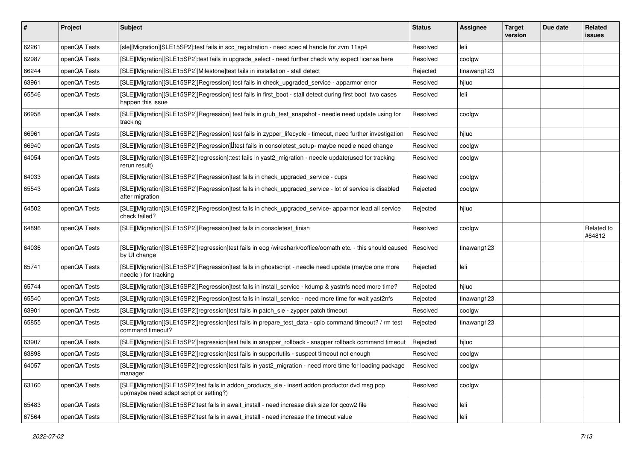| #     | Project      | Subject                                                                                                                                    | <b>Status</b> | <b>Assignee</b> | <b>Target</b><br>version | Due date | Related<br><b>issues</b> |
|-------|--------------|--------------------------------------------------------------------------------------------------------------------------------------------|---------------|-----------------|--------------------------|----------|--------------------------|
| 62261 | openQA Tests | [sle][Migration][SLE15SP2]:test fails in scc_registration - need special handle for zvm 11sp4                                              | Resolved      | leli            |                          |          |                          |
| 62987 | openQA Tests | [SLE][Migration][SLE15SP2]:test fails in upgrade_select - need further check why expect license here                                       | Resolved      | coolgw          |                          |          |                          |
| 66244 | openQA Tests | [SLE][Migration][SLE15SP2][Milestone]test fails in installation - stall detect                                                             | Rejected      | tinawang123     |                          |          |                          |
| 63961 | openQA Tests | [SLE][Migration][SLE15SP2][Regression] test fails in check_upgraded_service - apparmor error                                               | Resolved      | hiluo           |                          |          |                          |
| 65546 | openQA Tests | [SLE][Migration][SLE15SP2][Regression] test fails in first_boot - stall detect during first boot two cases<br>happen this issue            | Resolved      | leli            |                          |          |                          |
| 66958 | openQA Tests | [SLE][Migration][SLE15SP2][Regression] test fails in grub_test_snapshot - needle need update using for<br>tracking                         | Resolved      | coolgw          |                          |          |                          |
| 66961 | openQA Tests | [SLE][Migration][SLE15SP2][Regression] test fails in zypper_lifecycle - timeout, need further investigation                                | Resolved      | hjluo           |                          |          |                          |
| 66940 | openQA Tests | [SLE][Migration][SLE15SP2][Regression] <sup>[]</sup> test fails in consoletest_setup- maybe needle need change                             | Resolved      | coolgw          |                          |          |                          |
| 64054 | openQA Tests | [SLE][Migration][SLE15SP2][regression]:test fails in yast2_migration - needle update(used for tracking<br>rerun result)                    | Resolved      | coolgw          |                          |          |                          |
| 64033 | openQA Tests | [SLE][Migration][SLE15SP2][Regression]test fails in check_upgraded_service - cups                                                          | Resolved      | coolgw          |                          |          |                          |
| 65543 | openQA Tests | [SLE][Migration][SLE15SP2][Regression]test fails in check_upgraded_service - lot of service is disabled<br>after migration                 | Rejected      | coolgw          |                          |          |                          |
| 64502 | openQA Tests | [SLE][Migration][SLE15SP2][Regression]test fails in check_upgraded_service- apparmor lead all service<br>check failed?                     | Rejected      | hjluo           |                          |          |                          |
| 64896 | openQA Tests | [SLE][Migration][SLE15SP2][Regression]test fails in consoletest_finish                                                                     | Resolved      | coolgw          |                          |          | Related to<br>#64812     |
| 64036 | openQA Tests | [SLE][Migration][SLE15SP2][regression]test fails in eog /wireshark/ooffice/oomath etc. - this should caused<br>by UI change                | Resolved      | tinawang123     |                          |          |                          |
| 65741 | openQA Tests | [SLE][Migration][SLE15SP2][Regression]test fails in ghostscript - needle need update (maybe one more<br>needle) for tracking               | Rejected      | leli            |                          |          |                          |
| 65744 | openQA Tests | [SLE][Migration][SLE15SP2][Regression]test fails in install_service - kdump & yastnfs need more time?                                      | Rejected      | hiluo           |                          |          |                          |
| 65540 | openQA Tests | [SLE][Migration][SLE15SP2][Regression]test fails in install_service - need more time for wait yast2nfs                                     | Rejected      | tinawang123     |                          |          |                          |
| 63901 | openQA Tests | [SLE][Migration][SLE15SP2][regression]test fails in patch_sle - zypper patch timeout                                                       | Resolved      | coolgw          |                          |          |                          |
| 65855 | openQA Tests | [SLE][Migration][SLE15SP2][regression]test fails in prepare_test_data - cpio command timeout? / rm test<br>command timeout?                | Rejected      | tinawang123     |                          |          |                          |
| 63907 | openQA Tests | [SLE][Migration][SLE15SP2][regression]test fails in snapper_rollback - snapper rollback command timeout                                    | Rejected      | hjluo           |                          |          |                          |
| 63898 | openQA Tests | [SLE][Migration][SLE15SP2][regression]test fails in supportutils - suspect timeout not enough                                              | Resolved      | coolgw          |                          |          |                          |
| 64057 | openQA Tests | [SLE][Migration][SLE15SP2][regression]test fails in yast2_migration - need more time for loading package<br>manager                        | Resolved      | coolgw          |                          |          |                          |
| 63160 | openQA Tests | [SLE][Migration][SLE15SP2]test fails in addon_products_sle - insert addon productor dvd msg pop<br>up(maybe need adapt script or setting?) | Resolved      | coolgw          |                          |          |                          |
| 65483 | openQA Tests | [SLE][Migration][SLE15SP2]test fails in await_install - need increase disk size for qcow2 file                                             | Resolved      | leli            |                          |          |                          |
| 67564 | openQA Tests | [SLE][Migration][SLE15SP2]test fails in await install - need increase the timeout value                                                    | Resolved      | leli            |                          |          |                          |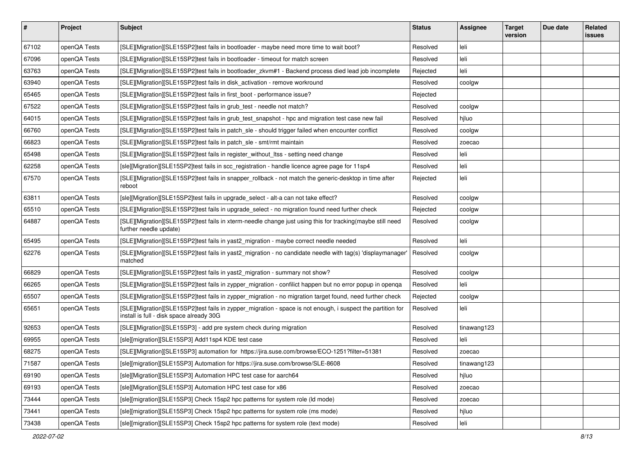| #     | Project      | <b>Subject</b>                                                                                                                                          | <b>Status</b> | Assignee    | <b>Target</b><br>version | Due date | Related<br><b>issues</b> |
|-------|--------------|---------------------------------------------------------------------------------------------------------------------------------------------------------|---------------|-------------|--------------------------|----------|--------------------------|
| 67102 | openQA Tests | [SLE][Migration][SLE15SP2]test fails in bootloader - maybe need more time to wait boot?                                                                 | Resolved      | leli        |                          |          |                          |
| 67096 | openQA Tests | [SLE][Migration][SLE15SP2]test fails in bootloader - timeout for match screen                                                                           | Resolved      | leli        |                          |          |                          |
| 63763 | openQA Tests | [SLE][Migration][SLE15SP2]test fails in bootloader_zkvm#1 - Backend process died lead job incomplete                                                    | Rejected      | leli        |                          |          |                          |
| 63940 | openQA Tests | [SLE][Migration][SLE15SP2]test fails in disk_activation - remove workround                                                                              | Resolved      | coolgw      |                          |          |                          |
| 65465 | openQA Tests | [SLE][Migration][SLE15SP2]test fails in first_boot - performance issue?                                                                                 | Rejected      |             |                          |          |                          |
| 67522 | openQA Tests | [SLE][Migration][SLE15SP2]test fails in grub_test - needle not match?                                                                                   | Resolved      | coolgw      |                          |          |                          |
| 64015 | openQA Tests | [SLE][Migration][SLE15SP2]test fails in grub test snapshot - hpc and migration test case new fail                                                       | Resolved      | hjluo       |                          |          |                          |
| 66760 | openQA Tests | [SLE][Migration][SLE15SP2]test fails in patch sle - should trigger failed when encounter conflict                                                       | Resolved      | coolgw      |                          |          |                          |
| 66823 | openQA Tests | [SLE][Migration][SLE15SP2]test fails in patch_sle - smt/rmt maintain                                                                                    | Resolved      | zoecao      |                          |          |                          |
| 65498 | openQA Tests | [SLE][Migration][SLE15SP2]test fails in register_without_ltss - setting need change                                                                     | Resolved      | leli        |                          |          |                          |
| 62258 | openQA Tests | [sle][Migration][SLE15SP2]test fails in scc_registration - handle licence agree page for 11sp4                                                          | Resolved      | leli        |                          |          |                          |
| 67570 | openQA Tests | [SLE][Migration][SLE15SP2]test fails in snapper_rollback - not match the generic-desktop in time after<br>reboot                                        | Rejected      | leli        |                          |          |                          |
| 63811 | openQA Tests | [sle][Migration][SLE15SP2]test fails in upgrade_select - alt-a can not take effect?                                                                     | Resolved      | coolgw      |                          |          |                          |
| 65510 | openQA Tests | [SLE][Migration][SLE15SP2]test fails in upgrade_select - no migration found need further check                                                          | Rejected      | coolgw      |                          |          |                          |
| 64887 | openQA Tests | [SLE][Migration][SLE15SP2]test fails in xterm-needle change just using this for tracking(maybe still need<br>further needle update)                     | Resolved      | coolgw      |                          |          |                          |
| 65495 | openQA Tests | [SLE][Migration][SLE15SP2]test fails in yast2_migration - maybe correct needle needed                                                                   | Resolved      | leli        |                          |          |                          |
| 62276 | openQA Tests | [SLE][Migration][SLE15SP2]test fails in yast2_migration - no candidate needle with tag(s) 'displaymanager'<br>matched                                   | Resolved      | coolgw      |                          |          |                          |
| 66829 | openQA Tests | [SLE][Migration][SLE15SP2]test fails in yast2_migration - summary not show?                                                                             | Resolved      | coolgw      |                          |          |                          |
| 66265 | openQA Tests | [SLE][Migration][SLE15SP2]test fails in zypper_migration - confilict happen but no error popup in openqa                                                | Resolved      | leli        |                          |          |                          |
| 65507 | openQA Tests | [SLE][Migration][SLE15SP2]test fails in zypper_migration - no migration target found, need further check                                                | Rejected      | coolgw      |                          |          |                          |
| 65651 | openQA Tests | [SLE][Migration][SLE15SP2]test fails in zypper_migration - space is not enough, i suspect the partition for<br>install is full - disk space already 30G | Resolved      | leli        |                          |          |                          |
| 92653 | openQA Tests | [SLE][Migration][SLE15SP3] - add pre system check during migration                                                                                      | Resolved      | tinawang123 |                          |          |                          |
| 69955 | openQA Tests | [sle][migration][SLE15SP3] Add11sp4 KDE test case                                                                                                       | Resolved      | leli        |                          |          |                          |
| 68275 | openQA Tests | [SLE][Migration][SLE15SP3] automation for https://jira.suse.com/browse/ECO-1251?filter=51381                                                            | Resolved      | zoecao      |                          |          |                          |
| 71587 | openQA Tests | [sle][migration][SLE15SP3] Automation for https://jira.suse.com/browse/SLE-8608                                                                         | Resolved      | tinawang123 |                          |          |                          |
| 69190 | openQA Tests | [sle][Migration][SLE15SP3] Automation HPC test case for aarch64                                                                                         | Resolved      | hjluo       |                          |          |                          |
| 69193 | openQA Tests | [sle][Migration][SLE15SP3] Automation HPC test case for x86                                                                                             | Resolved      | zoecao      |                          |          |                          |
| 73444 | openQA Tests | [sle][migration][SLE15SP3] Check 15sp2 hpc patterns for system role (Id mode)                                                                           | Resolved      | zoecao      |                          |          |                          |
| 73441 | openQA Tests | [sle][migration][SLE15SP3] Check 15sp2 hpc patterns for system role (ms mode)                                                                           | Resolved      | hjluo       |                          |          |                          |
| 73438 | openQA Tests | [sle][migration][SLE15SP3] Check 15sp2 hpc patterns for system role (text mode)                                                                         | Resolved      | leli        |                          |          |                          |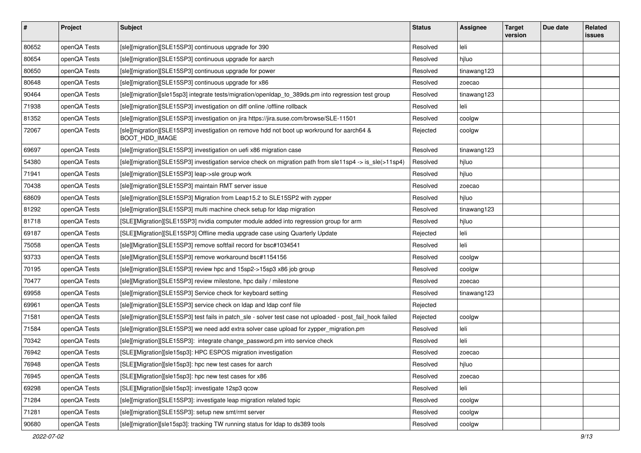| $\vert$ # | Project      | <b>Subject</b>                                                                                               | <b>Status</b> | <b>Assignee</b> | <b>Target</b><br>version | Due date | Related<br><b>issues</b> |
|-----------|--------------|--------------------------------------------------------------------------------------------------------------|---------------|-----------------|--------------------------|----------|--------------------------|
| 80652     | openQA Tests | [sle][migration][SLE15SP3] continuous upgrade for 390                                                        | Resolved      | leli            |                          |          |                          |
| 80654     | openQA Tests | [sle][migration][SLE15SP3] continuous upgrade for aarch                                                      | Resolved      | hjluo           |                          |          |                          |
| 80650     | openQA Tests | [sle][migration][SLE15SP3] continuous upgrade for power                                                      | Resolved      | tinawang123     |                          |          |                          |
| 80648     | openQA Tests | [sle][migration][SLE15SP3] continuous upgrade for x86                                                        | Resolved      | zoecao          |                          |          |                          |
| 90464     | openQA Tests | [sle][migration][sle15sp3] integrate tests/migration/openIdap_to_389ds.pm into regression test group         | Resolved      | tinawang123     |                          |          |                          |
| 71938     | openQA Tests | [sle][migration][SLE15SP3] investigation on diff online /offline rollback                                    | Resolved      | leli            |                          |          |                          |
| 81352     | openQA Tests | [sle][migration][SLE15SP3] investigation on jira https://jira.suse.com/browse/SLE-11501                      | Resolved      | coolgw          |                          |          |                          |
| 72067     | openQA Tests | [sle][migration][SLE15SP3] investigation on remove hdd not boot up workround for aarch64 &<br>BOOT_HDD_IMAGE | Rejected      | coolgw          |                          |          |                          |
| 69697     | openQA Tests | [sle][migration][SLE15SP3] investigation on uefi x86 migration case                                          | Resolved      | tinawang123     |                          |          |                          |
| 54380     | openQA Tests | [sle][migration][SLE15SP3] investigation service check on migration path from sle11sp4 -> is_sle(>11sp4)     | Resolved      | hjluo           |                          |          |                          |
| 71941     | openQA Tests | [sle][migration][SLE15SP3] leap->sle group work                                                              | Resolved      | hjluo           |                          |          |                          |
| 70438     | openQA Tests | [sle][migration][SLE15SP3] maintain RMT server issue                                                         | Resolved      | zoecao          |                          |          |                          |
| 68609     | openQA Tests | [sle][migration][SLE15SP3] Migration from Leap15.2 to SLE15SP2 with zypper                                   | Resolved      | hjluo           |                          |          |                          |
| 81292     | openQA Tests | [sle][migration][SLE15SP3] multi machine check setup for Idap migration                                      | Resolved      | tinawang123     |                          |          |                          |
| 81718     | openQA Tests | [SLE][Migration][SLE15SP3] nvidia computer module added into regression group for arm                        | Resolved      | hjluo           |                          |          |                          |
| 69187     | openQA Tests | [SLE][Migration][SLE15SP3] Offline media upgrade case using Quarterly Update                                 | Rejected      | leli            |                          |          |                          |
| 75058     | openQA Tests | [sle][Migration][SLE15SP3] remove softfail record for bsc#1034541                                            | Resolved      | leli            |                          |          |                          |
| 93733     | openQA Tests | [sle][Migration][SLE15SP3] remove workaround bsc#1154156                                                     | Resolved      | coolgw          |                          |          |                          |
| 70195     | openQA Tests | [sle][migration][SLE15SP3] review hpc and 15sp2->15sp3 x86 job group                                         | Resolved      | coolgw          |                          |          |                          |
| 70477     | openQA Tests | [sle][Migration][SLE15SP3] review milestone, hpc daily / milestone                                           | Resolved      | zoecao          |                          |          |                          |
| 69958     | openQA Tests | [sle][migration][SLE15SP3] Service check for keyboard setting                                                | Resolved      | tinawang123     |                          |          |                          |
| 69961     | openQA Tests | [sle][migration][SLE15SP3] service check on Idap and Idap conf file                                          | Rejected      |                 |                          |          |                          |
| 71581     | openQA Tests | [sle][migration][SLE15SP3] test fails in patch_sle - solver test case not uploaded - post_fail_hook failed   | Rejected      | coolgw          |                          |          |                          |
| 71584     | openQA Tests | [sle][migration][SLE15SP3] we need add extra solver case upload for zypper_migration.pm                      | Resolved      | leli            |                          |          |                          |
| 70342     | openQA Tests | [sle][migration][SLE15SP3]: integrate change_password.pm into service check                                  | Resolved      | leli            |                          |          |                          |
| 76942     | openQA Tests | [SLE][Migration][sle15sp3]: HPC ESPOS migration investigation                                                | Resolved      | zoecao          |                          |          |                          |
| 76948     | openQA Tests | [SLE][Migration][sle15sp3]: hpc new test cases for aarch                                                     | Resolved      | hjluo           |                          |          |                          |
| 76945     | openQA Tests | [SLE][Migration][sle15sp3]: hpc new test cases for x86                                                       | Resolved      | zoecao          |                          |          |                          |
| 69298     | openQA Tests | [SLE][Migration][sle15sp3]: investigate 12sp3 qcow                                                           | Resolved      | leli            |                          |          |                          |
| 71284     | openQA Tests | [sle][migration][SLE15SP3]: investigate leap migration related topic                                         | Resolved      | coolgw          |                          |          |                          |
| 71281     | openQA Tests | [sle][migration][SLE15SP3]: setup new smt/rmt server                                                         | Resolved      | coolgw          |                          |          |                          |
| 90680     | openQA Tests | [sle][migration][sle15sp3]: tracking TW running status for Idap to ds389 tools                               | Resolved      | coolgw          |                          |          |                          |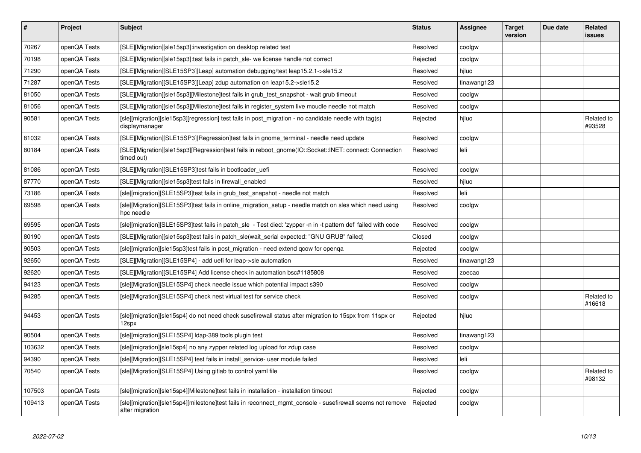| $\sharp$ | <b>Project</b> | <b>Subject</b>                                                                                                               | <b>Status</b> | <b>Assignee</b> | <b>Target</b><br>version | Due date | <b>Related</b><br><b>issues</b> |
|----------|----------------|------------------------------------------------------------------------------------------------------------------------------|---------------|-----------------|--------------------------|----------|---------------------------------|
| 70267    | openQA Tests   | [SLE][Migration][sle15sp3]:investigation on desktop related test                                                             | Resolved      | coolgw          |                          |          |                                 |
| 70198    | openQA Tests   | [SLE][Migration][sle15sp3]:test fails in patch_sle- we license handle not correct                                            | Rejected      | coolgw          |                          |          |                                 |
| 71290    | openQA Tests   | [SLE][Migration][SLE15SP3][Leap] automation debugging/test leap15.2.1->sle15.2                                               | Resolved      | hiluo           |                          |          |                                 |
| 71287    | openQA Tests   | [SLE][Migration][SLE15SP3][Leap] zdup automation on leap15.2->sle15.2                                                        | Resolved      | tinawang123     |                          |          |                                 |
| 81050    | openQA Tests   | [SLE][Migration][sle15sp3][Milestone]test fails in grub_test_snapshot - wait grub timeout                                    | Resolved      | coolgw          |                          |          |                                 |
| 81056    | openQA Tests   | [SLE][Migration][sle15sp3][Milestone]test fails in register system live moudle needle not match                              | Resolved      | coolgw          |                          |          |                                 |
| 90581    | openQA Tests   | [sle][migration][sle15sp3][regression] test fails in post_migration - no candidate needle with tag(s)<br>displaymanager      | Rejected      | hiluo           |                          |          | Related to<br>#93528            |
| 81032    | openQA Tests   | [SLE][Migration][SLE15SP3][Regression]test fails in gnome_terminal - needle need update                                      | Resolved      | coolgw          |                          |          |                                 |
| 80184    | openQA Tests   | [SLE][Migration][sle15sp3][Regression]test fails in reboot gnome(IO::Socket::INET: connect: Connection<br>timed out)         | Resolved      | leli            |                          |          |                                 |
| 81086    | openQA Tests   | [SLE][Migration][SLE15SP3]test fails in bootloader_uefi                                                                      | Resolved      | coolgw          |                          |          |                                 |
| 87770    | openQA Tests   | [SLE][Migration][sle15sp3]test fails in firewall_enabled                                                                     | Resolved      | hjluo           |                          |          |                                 |
| 73186    | openQA Tests   | [sle][migration][SLE15SP3]test fails in grub test snapshot - needle not match                                                | Resolved      | leli            |                          |          |                                 |
| 69598    | openQA Tests   | [sle][Migration][SLE15SP3]test fails in online_migration_setup - needle match on sles which need using<br>hpc needle         | Resolved      | coolgw          |                          |          |                                 |
| 69595    | openQA Tests   | [sle][migration][SLE15SP3]test fails in patch sle - Test died: 'zypper -n in -t pattern def' failed with code                | Resolved      | coolgw          |                          |          |                                 |
| 80190    | openQA Tests   | [SLE][Migration][sle15sp3]test fails in patch_sle(wait_serial expected: "GNU GRUB" failed)                                   | Closed        | coolgw          |                          |          |                                 |
| 90503    | openQA Tests   | [sle][migration][sle15sp3]test fails in post migration - need extend gcow for openga                                         | Rejected      | coolgw          |                          |          |                                 |
| 92650    | openQA Tests   | [SLE][Migration][SLE15SP4] - add uefi for leap->sle automation                                                               | Resolved      | tinawang123     |                          |          |                                 |
| 92620    | openQA Tests   | [SLE][Migration][SLE15SP4] Add license check in automation bsc#1185808                                                       | Resolved      | zoecao          |                          |          |                                 |
| 94123    | openQA Tests   | [sle][Migration][SLE15SP4] check needle issue which potential impact s390                                                    | Resolved      | coolgw          |                          |          |                                 |
| 94285    | openQA Tests   | [sle][Migration][SLE15SP4] check nest virtual test for service check                                                         | Resolved      | coolgw          |                          |          | Related to<br>#16618            |
| 94453    | openQA Tests   | [sle][migration][sle15sp4] do not need check susefirewall status after migration to 15spx from 11spx or<br>12spx             | Rejected      | hiluo           |                          |          |                                 |
| 90504    | openQA Tests   | [sle][migration][SLE15SP4] Idap-389 tools plugin test                                                                        | Resolved      | tinawang123     |                          |          |                                 |
| 103632   | openQA Tests   | [sle][migration][sle15sp4] no any zypper related log upload for zdup case                                                    | Resolved      | coolgw          |                          |          |                                 |
| 94390    | openQA Tests   | [sle][Migration][SLE15SP4] test fails in install service- user module failed                                                 | Resolved      | leli            |                          |          |                                 |
| 70540    | openQA Tests   | [sle][Migration][SLE15SP4] Using gitlab to control yaml file                                                                 | Resolved      | coolgw          |                          |          | Related to<br>#98132            |
| 107503   | openQA Tests   | [sle][migration][sle15sp4][Milestone]test fails in installation - installation timeout                                       | Rejected      | coolgw          |                          |          |                                 |
| 109413   | openQA Tests   | [sle][migration][sle15sp4][milestone]test fails in reconnect mgmt console - susefirewall seems not remove<br>after migration | Rejected      | coolgw          |                          |          |                                 |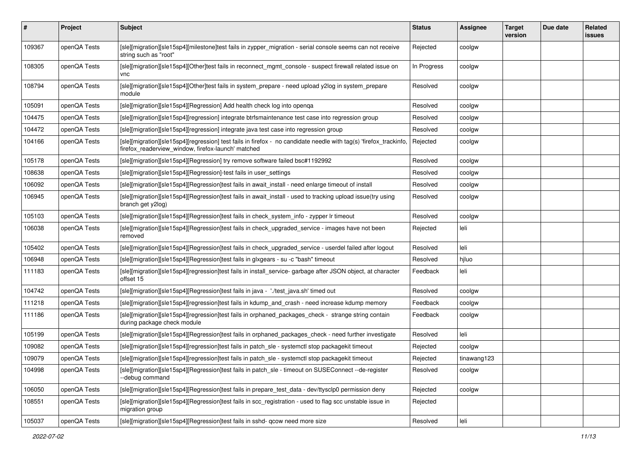| #      | Project      | <b>Subject</b>                                                                                                                                                           | <b>Status</b> | <b>Assignee</b> | <b>Target</b><br>version | Due date | <b>Related</b><br><b>issues</b> |
|--------|--------------|--------------------------------------------------------------------------------------------------------------------------------------------------------------------------|---------------|-----------------|--------------------------|----------|---------------------------------|
| 109367 | openQA Tests | [sle][migration][sle15sp4][milestone]test fails in zypper_migration - serial console seems can not receive<br>string such as "root"                                      | Rejected      | coolgw          |                          |          |                                 |
| 108305 | openQA Tests | [sle][migration][sle15sp4][Other]test fails in reconnect_mgmt_console - suspect firewall related issue on<br>vnc                                                         | In Progress   | coolgw          |                          |          |                                 |
| 108794 | openQA Tests | [sle][migration][sle15sp4][Other]test fails in system_prepare - need upload y2log in system_prepare<br>module                                                            | Resolved      | coolgw          |                          |          |                                 |
| 105091 | openQA Tests | [sle][migration][sle15sp4][Regression] Add health check log into openga                                                                                                  | Resolved      | coolgw          |                          |          |                                 |
| 104475 | openQA Tests | [sle][migration][sle15sp4][regression] integrate btrfsmaintenance test case into regression group                                                                        | Resolved      | coolgw          |                          |          |                                 |
| 104472 | openQA Tests | [sle][migration][sle15sp4][regression] integrate java test case into regression group                                                                                    | Resolved      | coolgw          |                          |          |                                 |
| 104166 | openQA Tests | [sle][migration][sle15sp4][regression] test fails in firefox - no candidate needle with tag(s) 'firefox_trackinfo,<br>firefox readerview window, firefox-launch' matched | Rejected      | coolgw          |                          |          |                                 |
| 105178 | openQA Tests | [sle][migration][sle15sp4][Regression] try remove software failed bsc#1192992                                                                                            | Resolved      | coolgw          |                          |          |                                 |
| 108638 | openQA Tests | [sle][migration][sle15sp4][Regression]-test fails in user_settings                                                                                                       | Resolved      | coolgw          |                          |          |                                 |
| 106092 | openQA Tests | [sle][migration][sle15sp4][Regression]test fails in await_install - need enlarge timeout of install                                                                      | Resolved      | coolgw          |                          |          |                                 |
| 106945 | openQA Tests | [sle][migration][sle15sp4][Regression]test fails in await_install - used to tracking upload issue(try using<br>branch get y2log)                                         | Resolved      | coolgw          |                          |          |                                 |
| 105103 | openQA Tests | [sle][migration][sle15sp4][Regression]test fails in check_system_info - zypper lr timeout                                                                                | Resolved      | coolgw          |                          |          |                                 |
| 106038 | openQA Tests | [sle][migration][sle15sp4][Regression]test fails in check_upgraded_service - images have not been<br>removed                                                             | Rejected      | leli            |                          |          |                                 |
| 105402 | openQA Tests | [sle][migration][sle15sp4][Regression]test fails in check_upgraded_service - userdel failed after logout                                                                 | Resolved      | leli            |                          |          |                                 |
| 106948 | openQA Tests | [sle][migration][sle15sp4][Regression]test fails in glxgears - su -c "bash" timeout                                                                                      | Resolved      | hjluo           |                          |          |                                 |
| 111183 | openQA Tests | [sle][migration][sle15sp4][regression]test fails in install_service-garbage after JSON object, at character<br>offset 15                                                 | Feedback      | leli            |                          |          |                                 |
| 104742 | openQA Tests | [sle][migration][sle15sp4][Regression]test fails in java - './test_java.sh' timed out                                                                                    | Resolved      | coolgw          |                          |          |                                 |
| 111218 | openQA Tests | [sle][migration][sle15sp4][regression]test fails in kdump_and_crash - need increase kdump memory                                                                         | Feedback      | coolgw          |                          |          |                                 |
| 111186 | openQA Tests | [sle][migration][sle15sp4][regression]test fails in orphaned_packages_check - strange string contain<br>during package check module                                      | Feedback      | coolgw          |                          |          |                                 |
| 105199 | openQA Tests | [sle][migration][sle15sp4][Regression]test fails in orphaned_packages_check - need further investigate                                                                   | Resolved      | leli            |                          |          |                                 |
| 109082 | openQA Tests | [sle][migration][sle15sp4][regression]test fails in patch_sle - systemctl stop packagekit timeout                                                                        | Rejected      | coolgw          |                          |          |                                 |
| 109079 | openQA Tests | [sle][migration][sle15sp4][regression]test fails in patch_sle - systemctl stop packagekit timeout                                                                        | Rejected      | tinawang123     |                          |          |                                 |
| 104998 | openQA Tests | [sle][migration][sle15sp4][Regression]test fails in patch_sle - timeout on SUSEConnect --de-register<br>--debug command                                                  | Resolved      | coolgw          |                          |          |                                 |
| 106050 | openQA Tests | [sle][migration][sle15sp4][Regression]test fails in prepare_test_data - dev/ttysclp0 permission deny                                                                     | Rejected      | coolgw          |                          |          |                                 |
| 108551 | openQA Tests | [sle][migration][sle15sp4][Regression]test fails in scc_registration - used to flag scc unstable issue in<br>migration group                                             | Rejected      |                 |                          |          |                                 |
| 105037 | openQA Tests | [sle][migration][sle15sp4][Regression]test fails in sshd- qcow need more size                                                                                            | Resolved      | leli            |                          |          |                                 |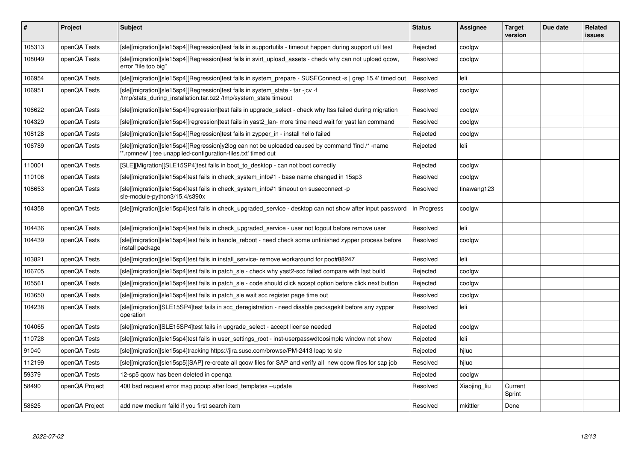| #      | Project        | <b>Subject</b>                                                                                                                                                   | <b>Status</b> | Assignee     | <b>Target</b><br>version | Due date | <b>Related</b><br>issues |
|--------|----------------|------------------------------------------------------------------------------------------------------------------------------------------------------------------|---------------|--------------|--------------------------|----------|--------------------------|
| 105313 | openQA Tests   | [sle][migration][sle15sp4][Regression]test fails in supportutils - timeout happen during support util test                                                       | Rejected      | coolgw       |                          |          |                          |
| 108049 | openQA Tests   | [sle][migration][sle15sp4][Regression]test fails in svirt_upload_assets - check why can not upload qcow,<br>error "file too big"                                 | Resolved      | coolgw       |                          |          |                          |
| 106954 | openQA Tests   | [sle][migration][sle15sp4][Regression]test fails in system_prepare - SUSEConnect -s   grep 15.4' timed out                                                       | Resolved      | leli         |                          |          |                          |
| 106951 | openQA Tests   | [sle][migration][sle15sp4][Regression]test fails in system_state - tar -jcv -f<br>/tmp/stats_during_installation.tar.bz2 /tmp/system_state timeout               | Resolved      | coolgw       |                          |          |                          |
| 106622 | openQA Tests   | [sle][migration][sle15sp4][regression]test fails in upgrade select - check why Itss failed during migration                                                      | Resolved      | coolgw       |                          |          |                          |
| 104329 | openQA Tests   | [sle][migration][sle15sp4][regression]test fails in yast2 lan- more time need wait for yast lan command                                                          | Resolved      | coolgw       |                          |          |                          |
| 108128 | openQA Tests   | [sle][migration][sle15sp4][Regression]test fails in zypper_in - install hello failed                                                                             | Rejected      | coolgw       |                          |          |                          |
| 106789 | openQA Tests   | [sle][migration][sle15sp4][Regression]y2log can not be uploaded caused by command 'find /* -name<br>*.rpmnew'   tee unapplied-configuration-files.txt' timed out | Rejected      | leli         |                          |          |                          |
| 110001 | openQA Tests   | [SLE][Migration][SLE15SP4]test fails in boot_to_desktop - can not boot correctly                                                                                 | Rejected      | coolgw       |                          |          |                          |
| 110106 | openQA Tests   | [sle][migration][sle15sp4]test fails in check system info#1 - base name changed in 15sp3                                                                         | Resolved      | coolgw       |                          |          |                          |
| 108653 | openQA Tests   | [sle][migration][sle15sp4]test fails in check system info#1 timeout on suseconnect -p<br>sle-module-python3/15.4/s390x                                           | Resolved      | tinawang123  |                          |          |                          |
| 104358 | openQA Tests   | [sle][migration][sle15sp4]test fails in check upgraded service - desktop can not show after input password                                                       | In Progress   | coolgw       |                          |          |                          |
| 104436 | openQA Tests   | [sle][migration][sle15sp4]test fails in check upgraded service - user not logout before remove user                                                              | Resolved      | leli         |                          |          |                          |
| 104439 | openQA Tests   | [sle][migration][sle15sp4]test fails in handle_reboot - need check some unfinished zypper process before<br>install package                                      | Resolved      | coolgw       |                          |          |                          |
| 103821 | openQA Tests   | [sle][migration][sle15sp4]test fails in install service- remove workaround for poo#88247                                                                         | Resolved      | leli         |                          |          |                          |
| 106705 | openQA Tests   | [sle][migration][sle15sp4]test fails in patch_sle - check why yast2-scc failed compare with last build                                                           | Rejected      | coolgw       |                          |          |                          |
| 105561 | openQA Tests   | [sle][migration][sle15sp4]test fails in patch_sle - code should click accept option before click next button                                                     | Rejected      | coolgw       |                          |          |                          |
| 103650 | openQA Tests   | [sle][migration][sle15sp4]test fails in patch sle wait scc register page time out                                                                                | Resolved      | coolgw       |                          |          |                          |
| 104238 | openQA Tests   | [sle][migration][SLE15SP4]test fails in scc_deregistration - need disable packagekit before any zypper<br>operation                                              | Resolved      | leli         |                          |          |                          |
| 104065 | openQA Tests   | [sle][migration][SLE15SP4]test fails in upgrade select - accept license needed                                                                                   | Rejected      | coolgw       |                          |          |                          |
| 110728 | openQA Tests   | [sle][migration][sle15sp4]test fails in user settings root - inst-userpasswdtoosimple window not show                                                            | Rejected      | leli         |                          |          |                          |
| 91040  | openQA Tests   | [sle][migration][sle15sp4]tracking https://jira.suse.com/browse/PM-2413 leap to sle                                                                              | Rejected      | hiluo        |                          |          |                          |
| 112199 | openQA Tests   | [sle][migration][sle15sp5][SAP] re-create all qcow files for SAP and verify all new qcow files for sap job                                                       | Resolved      | hjluo        |                          |          |                          |
| 59379  | openQA Tests   | 12-sp5 gcow has been deleted in openga                                                                                                                           | Rejected      | coolgw       |                          |          |                          |
| 58490  | openQA Project | 400 bad request error msg popup after load templates --update                                                                                                    | Resolved      | Xiaojing liu | Current<br>Sprint        |          |                          |
| 58625  | openQA Project | add new medium faild if you first search item                                                                                                                    | Resolved      | mkittler     | Done                     |          |                          |